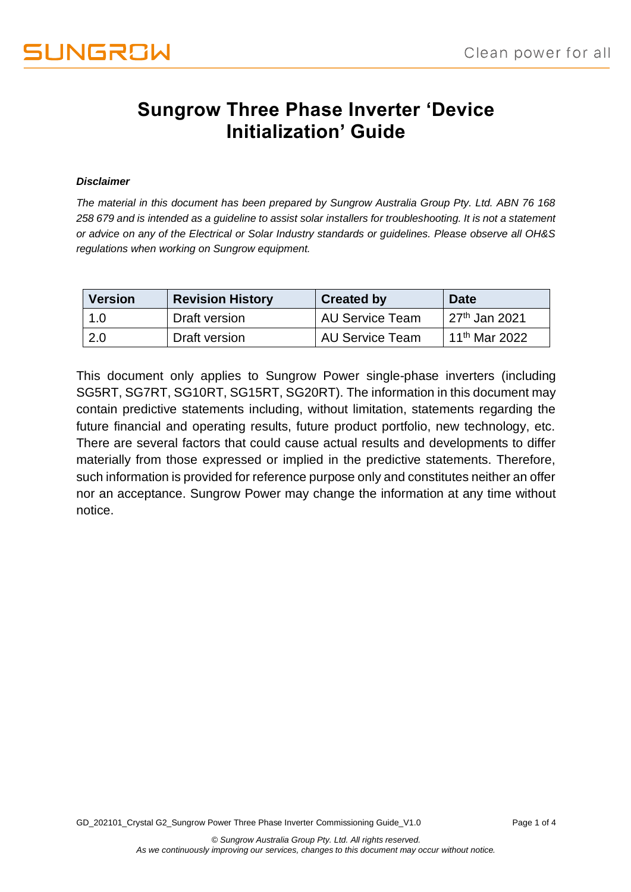### **Sungrow Three Phase Inverter 'Device Initialization' Guide**

#### *Disclaimer*

*The material in this document has been prepared by Sungrow Australia Group Pty. Ltd. ABN 76 168 258 679 and is intended as a guideline to assist solar installers for troubleshooting. It is not a statement or advice on any of the Electrical or Solar Industry standards or guidelines. Please observe all OH&S regulations when working on Sungrow equipment.*

| <b>Version</b> | <b>Revision History</b> | <b>Created by</b>      | <b>Date</b>               |
|----------------|-------------------------|------------------------|---------------------------|
| 1.0            | Draft version           | <b>AU Service Team</b> | 27 <sup>th</sup> Jan 2021 |
| 2.0            | Draft version           | <b>AU Service Team</b> | 11 <sup>th</sup> Mar 2022 |

This document only applies to Sungrow Power single-phase inverters (including SG5RT, SG7RT, SG10RT, SG15RT, SG20RT). The information in this document may contain predictive statements including, without limitation, statements regarding the future financial and operating results, future product portfolio, new technology, etc. There are several factors that could cause actual results and developments to differ materially from those expressed or implied in the predictive statements. Therefore, such information is provided for reference purpose only and constitutes neither an offer nor an acceptance. Sungrow Power may change the information at any time without notice.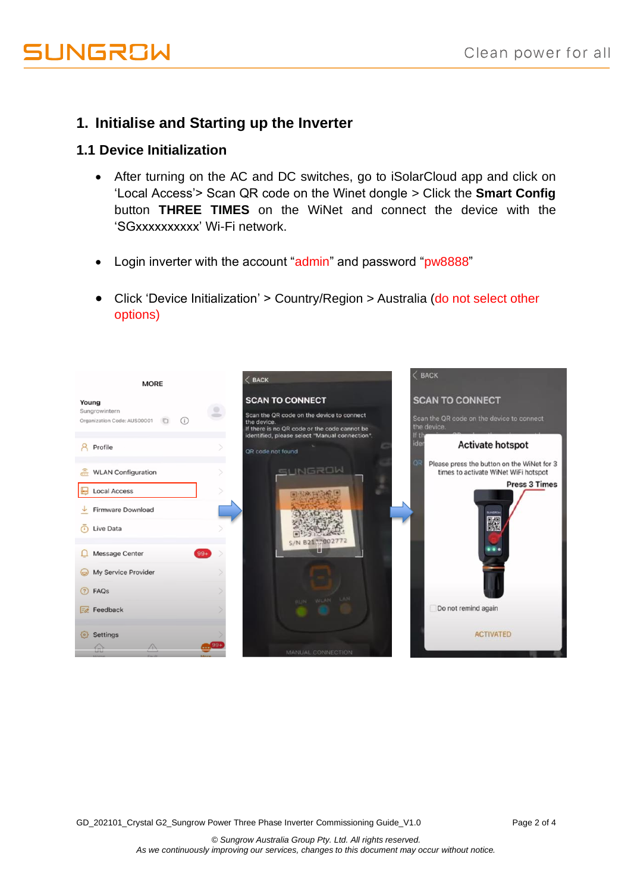### **1. Initialise and Starting up the Inverter**

#### **1.1 Device Initialization**

- After turning on the AC and DC switches, go to iSolarCloud app and click on 'Local Access'> Scan QR code on the Winet dongle > Click the **Smart Config** button **THREE TIMES** on the WiNet and connect the device with the 'SGxxxxxxxxxx' Wi-Fi network.
- Login inverter with the account "admin" and password "pw8888"
- Click 'Device Initialization' > Country/Region > Australia (do not select other options)

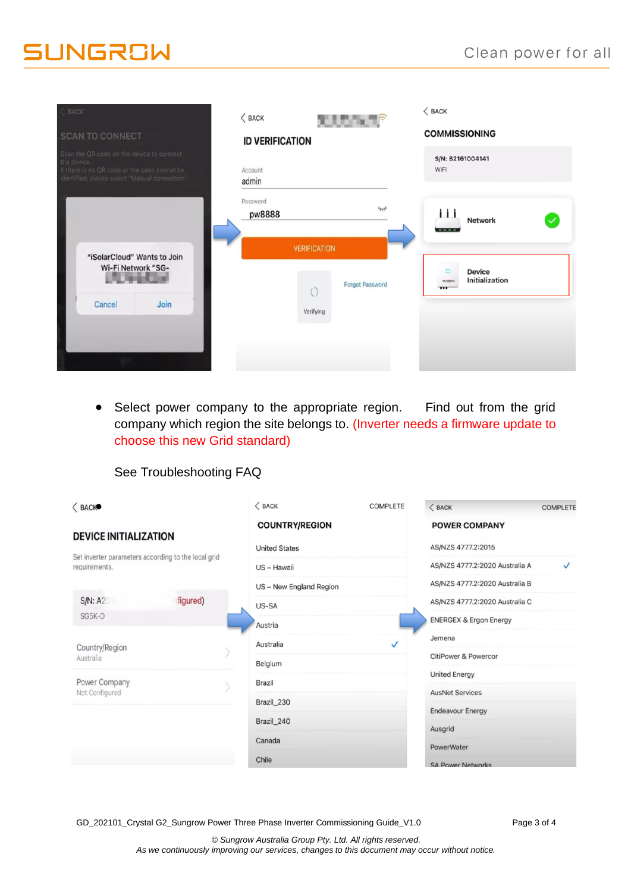# **JUNGROW**

| <b>&amp; BACK</b>                                                                                                                                         | $\langle$ BACK         | <b>Albanya</b>                    | $\langle$ BACK                                                                 |
|-----------------------------------------------------------------------------------------------------------------------------------------------------------|------------------------|-----------------------------------|--------------------------------------------------------------------------------|
| <b>SCAN TO CONNECT</b>                                                                                                                                    | <b>ID VERIFICATION</b> |                                   | <b>COMMISSIONING</b>                                                           |
| Scan the QR code on the device to connect<br>the device.<br>If there is no QR code or the code cannot be<br>identified, please select "Manual connection" | Account<br>admin       |                                   | S/N: B2161004141<br>WiFi                                                       |
|                                                                                                                                                           | Password<br>pw8888     | $\sim$<br><b>VERIFICATION</b>     | Ħ<br><b>Network</b><br>$-\cdots$                                               |
| "iSolarCloud" Wants to Join<br>Wi-Fi Network "SG-                                                                                                         |                        | <b>Forgot Password</b><br>$\circ$ | $\Box$<br><b>Device</b><br>Initialization<br><b>SLNGRCH</b><br>$_{\rm \pi\pi}$ |
| Join<br>Cancel                                                                                                                                            |                        | Verifying                         |                                                                                |
|                                                                                                                                                           |                        |                                   |                                                                                |

• Select power company to the appropriate region. Find out from the grid company which region the site belongs to. (Inverter needs a firmware update to choose this new Grid standard)

#### See Troubleshooting FAQ

| $\langle$ BACK                                                       | $\langle$ BACK          | <b>COMPLETE</b> | $<$ BACK                               | <b>COMPLETE</b>                                |
|----------------------------------------------------------------------|-------------------------|-----------------|----------------------------------------|------------------------------------------------|
| <b>DEVICE INITIALIZATION</b>                                         | <b>COUNTRY/REGION</b>   |                 | <b>POWER COMPANY</b>                   |                                                |
|                                                                      | <b>United States</b>    |                 | AS/NZS 4777.2:2015                     |                                                |
| Set inverter parameters according to the local grid<br>requirements. | US - Hawaii             |                 |                                        | AS/NZS 4777.2:2020 Australia A<br>$\checkmark$ |
|                                                                      | US - New England Region |                 | AS/NZS 4777.2:2020 Australia B         |                                                |
| figured)<br>S/N: A2                                                  | US-SA                   |                 | AS/NZS 4777.2:2020 Australia C         |                                                |
| SG5K-D                                                               | Austria                 |                 | <b>ENERGEX &amp; Ergon Energy</b>      |                                                |
|                                                                      | Australia               | ✓               | Jemena                                 |                                                |
| Country/Region<br>Australia                                          | Belgium                 |                 | <b>CitiPower &amp; Powercor</b>        |                                                |
| Power Company                                                        | Brazil                  |                 | <b>United Energy</b>                   |                                                |
| Not Configured                                                       |                         |                 |                                        |                                                |
|                                                                      | Brazil_230              |                 | <b>Endeavour Energy</b>                |                                                |
|                                                                      | Brazil_240              |                 | Ausgrid                                |                                                |
|                                                                      | Canada                  |                 |                                        |                                                |
|                                                                      | Chile                   |                 | PowerWater<br><b>SA Power Networks</b> |                                                |

GD\_202101\_Crystal G2\_Sungrow Power Three Phase Inverter Commissioning Guide\_V1.0 Page 3 of 4